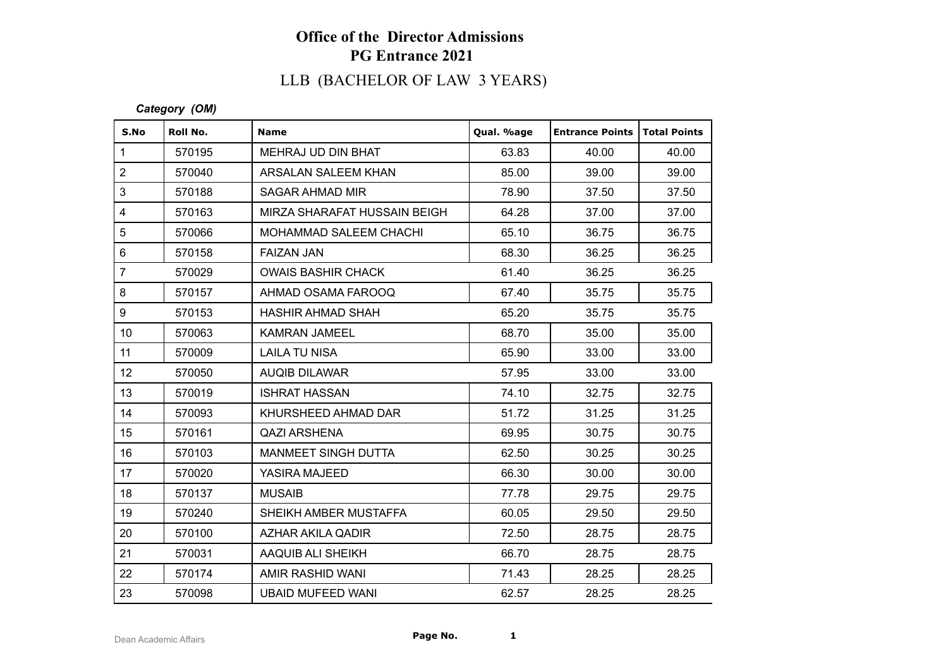# LLB (BACHELOR OF LAW 3 YEARS)

### *Category (OM)*

| S.No                    | Roll No. | <b>Name</b>                  | Qual. %age | <b>Entrance Points   Total Points</b> |       |
|-------------------------|----------|------------------------------|------------|---------------------------------------|-------|
| $\mathbf{1}$            | 570195   | MEHRAJ UD DIN BHAT           | 63.83      | 40.00                                 | 40.00 |
| $\overline{2}$          | 570040   | ARSALAN SALEEM KHAN          | 85.00      | 39.00                                 | 39.00 |
| 3                       | 570188   | SAGAR AHMAD MIR              | 78.90      | 37.50                                 | 37.50 |
| $\overline{\mathbf{4}}$ | 570163   | MIRZA SHARAFAT HUSSAIN BEIGH | 64.28      | 37.00                                 | 37.00 |
| 5                       | 570066   | MOHAMMAD SALEEM CHACHI       | 65.10      | 36.75                                 | 36.75 |
| 6                       | 570158   | <b>FAIZAN JAN</b>            | 68.30      | 36.25                                 | 36.25 |
| $\overline{7}$          | 570029   | <b>OWAIS BASHIR CHACK</b>    | 61.40      | 36.25                                 | 36.25 |
| 8                       | 570157   | AHMAD OSAMA FAROOQ           | 67.40      | 35.75                                 | 35.75 |
| 9                       | 570153   | <b>HASHIR AHMAD SHAH</b>     | 65.20      | 35.75                                 | 35.75 |
| 10 <sup>1</sup>         | 570063   | <b>KAMRAN JAMEEL</b>         | 68.70      | 35.00                                 | 35.00 |
| 11                      | 570009   | <b>LAILA TU NISA</b>         | 65.90      | 33.00                                 | 33.00 |
| 12 <sup>°</sup>         | 570050   | <b>AUQIB DILAWAR</b>         | 57.95      | 33.00                                 | 33.00 |
| 13                      | 570019   | <b>ISHRAT HASSAN</b>         | 74.10      | 32.75                                 | 32.75 |
| 14                      | 570093   | KHURSHEED AHMAD DAR          | 51.72      | 31.25                                 | 31.25 |
| 15                      | 570161   | <b>QAZI ARSHENA</b>          | 69.95      | 30.75                                 | 30.75 |
| 16                      | 570103   | <b>MANMEET SINGH DUTTA</b>   | 62.50      | 30.25                                 | 30.25 |
| 17                      | 570020   | YASIRA MAJEED                | 66.30      | 30.00                                 | 30.00 |
| 18                      | 570137   | <b>MUSAIB</b>                | 77.78      | 29.75                                 | 29.75 |
| 19                      | 570240   | SHEIKH AMBER MUSTAFFA        | 60.05      | 29.50                                 | 29.50 |
| 20                      | 570100   | AZHAR AKILA QADIR            | 72.50      | 28.75                                 | 28.75 |
| 21                      | 570031   | AAQUIB ALI SHEIKH            | 66.70      | 28.75                                 | 28.75 |
| 22                      | 570174   | AMIR RASHID WANI             | 71.43      | 28.25                                 | 28.25 |
| 23                      | 570098   | <b>UBAID MUFEED WANI</b>     | 62.57      | 28.25                                 | 28.25 |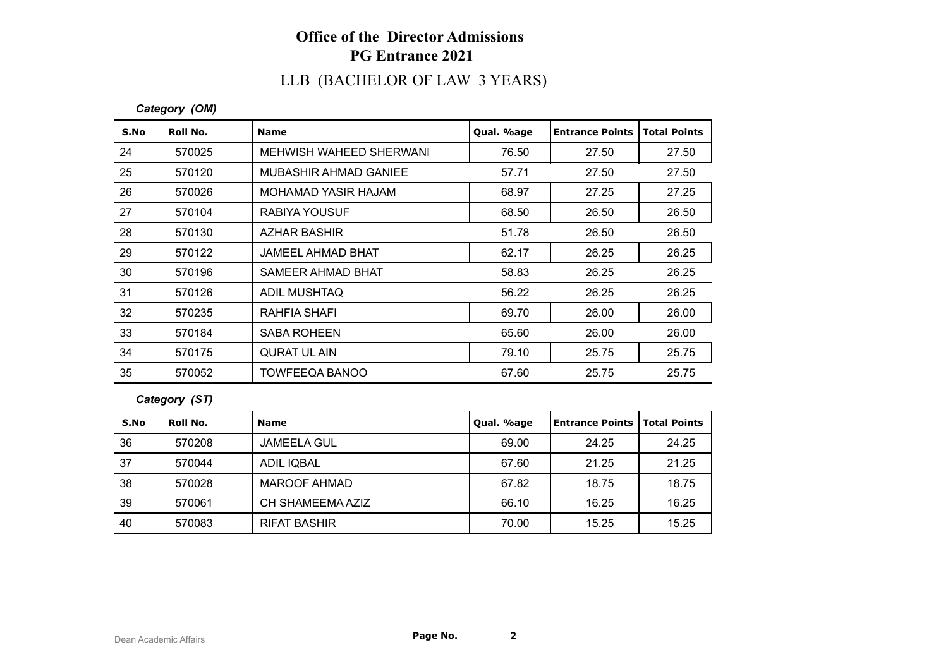# LLB (BACHELOR OF LAW 3 YEARS)

### *Category (OM)*

| S.No | Roll No. | <b>Name</b>              | Qual. %age | <b>Entrance Points</b> | <b>Total Points</b> |
|------|----------|--------------------------|------------|------------------------|---------------------|
| 24   | 570025   | MEHWISH WAHEED SHERWANI  | 76.50      | 27.50                  | 27.50               |
| 25   | 570120   | MUBASHIR AHMAD GANIEE    | 57.71      | 27.50                  | 27.50               |
| 26   | 570026   | MOHAMAD YASIR HAJAM      | 68.97      | 27.25                  | 27.25               |
| 27   | 570104   | <b>RABIYA YOUSUF</b>     | 68.50      | 26.50                  | 26.50               |
| 28   | 570130   | AZHAR BASHIR             | 51.78      | 26.50                  | 26.50               |
| 29   | 570122   | <b>JAMEEL AHMAD BHAT</b> | 62.17      | 26.25                  | 26.25               |
| 30   | 570196   | SAMEER AHMAD BHAT        | 58.83      | 26.25                  | 26.25               |
| 31   | 570126   | ADIL MUSHTAQ             | 56.22      | 26.25                  | 26.25               |
| 32   | 570235   | RAHFIA SHAFI             | 69.70      | 26.00                  | 26.00               |
| 33   | 570184   | <b>SABA ROHEEN</b>       | 65.60      | 26.00                  | 26.00               |
| 34   | 570175   | <b>QURAT UL AIN</b>      | 79.10      | 25.75                  | 25.75               |
| 35   | 570052   | <b>TOWFEEQA BANOO</b>    | 67.60      | 25.75                  | 25.75               |

#### *Category (ST)*

| S.No | Roll No. | <b>Name</b>         | Qual. %age | Entrance Points   Total Points |       |
|------|----------|---------------------|------------|--------------------------------|-------|
| 36   | 570208   | <b>JAMEELA GUL</b>  | 69.00      | 24.25                          | 24.25 |
| 37   | 570044   | ADIL IQBAL          | 67.60      | 21.25                          | 21.25 |
| 38   | 570028   | MAROOF AHMAD        | 67.82      | 18.75                          | 18.75 |
| 39   | 570061   | CH SHAMEEMA AZIZ    | 66.10      | 16.25                          | 16.25 |
| 40   | 570083   | <b>RIFAT BASHIR</b> | 70.00      | 15.25                          | 15.25 |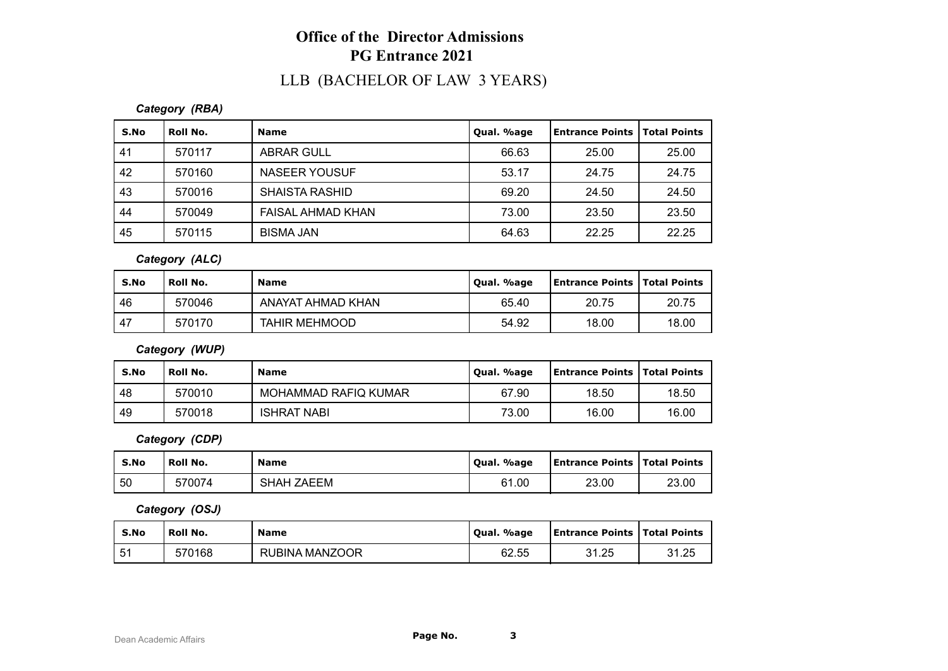### LLB (BACHELOR OF LAW 3 YEARS)

#### *Category (RBA)*

| S.No | Roll No. | <b>Name</b>           | Qual. %age | Entrance Points | <b>Total Points</b> |
|------|----------|-----------------------|------------|-----------------|---------------------|
| -41  | 570117   | <b>ABRAR GULL</b>     | 66.63      | 25.00           | 25.00               |
| 42   | 570160   | NASEER YOUSUF         | 53.17      | 24.75           | 24.75               |
| 43   | 570016   | <b>SHAISTA RASHID</b> | 69.20      | 24.50           | 24.50               |
| 44   | 570049   | FAISAL AHMAD KHAN     | 73.00      | 23.50           | 23.50               |
| 45   | 570115   | <b>BISMA JAN</b>      | 64.63      | 22.25           | 22.25               |

#### *Category (ALC)*

| S.No | <b>Roll No.</b> | <b>Name</b>          | Qual. %age | <b>Entrance Points   Total Points</b> |       |
|------|-----------------|----------------------|------------|---------------------------------------|-------|
| 46   | 570046          | ANAYAT AHMAD KHAN    | 65.40      | 20.75                                 | 20.75 |
| 47   | 570170          | <b>TAHIR MEHMOOD</b> | 54.92      | 18.00                                 | 18.00 |

### *Category (WUP)*

| S.No | `Roll No. | <b>Name</b>          | Qual. %age | Entrance Points   Total Points |       |
|------|-----------|----------------------|------------|--------------------------------|-------|
| -48  | 570010    | MOHAMMAD RAFIQ KUMAR | 67.90      | 18.50                          | 18.50 |
| 49   | 570018    | <b>ISHRAT NABI</b>   | 73.00      | 16.00                          | 16.00 |

#### *Category (CDP)*

| S.No | Roll No. | <b>Name</b>       | Qual. %age | <b>Entrance Points   Total Points</b> |       |
|------|----------|-------------------|------------|---------------------------------------|-------|
| 50   | 570074   | <b>SHAH ZAEEM</b> | 61.00      | 23.00                                 | 23.00 |

#### *Category (OSJ)*

| S.No | Roll No. | <b>Name</b>              | Qual. %age | <b>Entrance Points   Total Points</b> |       |
|------|----------|--------------------------|------------|---------------------------------------|-------|
| 51   | 570168   | MANZOOR<br><b>RUBINA</b> | 62.55      | 31.25<br>ن ے . ا ب                    | 31.25 |